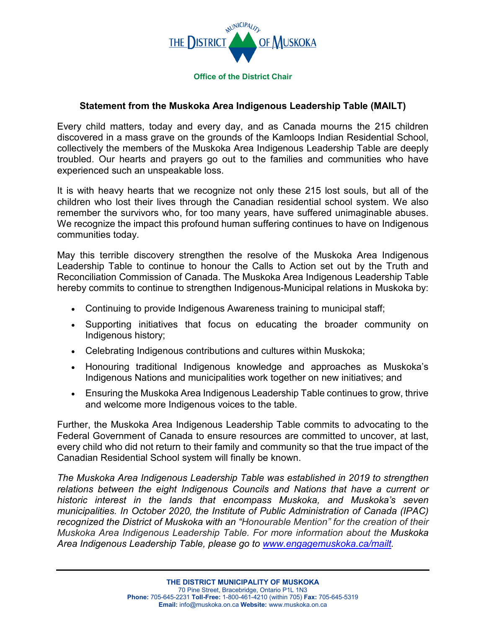

## **Statement from the Muskoka Area Indigenous Leadership Table (MAILT)**

Every child matters, today and every day, and as Canada mourns the 215 children discovered in a mass grave on the grounds of the Kamloops Indian Residential School, collectively the members of the Muskoka Area Indigenous Leadership Table are deeply troubled. Our hearts and prayers go out to the families and communities who have experienced such an unspeakable loss.

It is with heavy hearts that we recognize not only these 215 lost souls, but all of the children who lost their lives through the Canadian residential school system. We also remember the survivors who, for too many years, have suffered unimaginable abuses. We recognize the impact this profound human suffering continues to have on Indigenous communities today.

May this terrible discovery strengthen the resolve of the Muskoka Area Indigenous Leadership Table to continue to honour the Calls to Action set out by the Truth and Reconciliation Commission of Canada. The Muskoka Area Indigenous Leadership Table hereby commits to continue to strengthen Indigenous-Municipal relations in Muskoka by:

- Continuing to provide Indigenous Awareness training to municipal staff;
- Supporting initiatives that focus on educating the broader community on Indigenous history;
- Celebrating Indigenous contributions and cultures within Muskoka;
- Honouring traditional Indigenous knowledge and approaches as Muskoka's Indigenous Nations and municipalities work together on new initiatives; and
- Ensuring the Muskoka Area Indigenous Leadership Table continues to grow, thrive and welcome more Indigenous voices to the table.

Further, the Muskoka Area Indigenous Leadership Table commits to advocating to the Federal Government of Canada to ensure resources are committed to uncover, at last, every child who did not return to their family and community so that the true impact of the Canadian Residential School system will finally be known.

*The Muskoka Area Indigenous Leadership Table was established in 2019 to strengthen relations between the eight Indigenous Councils and Nations that have a current or historic interest in the lands that encompass Muskoka, and Muskoka's seven municipalities. In October 2020, the Institute of Public Administration of Canada (IPAC) recognized the District of Muskoka with an "Honourable Mention" for the creation of their Muskoka Area Indigenous Leadership Table. For more information about the Muskoka Area Indigenous Leadership Table, please go to [www.engagemuskoka.ca/mailt.](http://www.engagemuskoka.ca/mailt)*